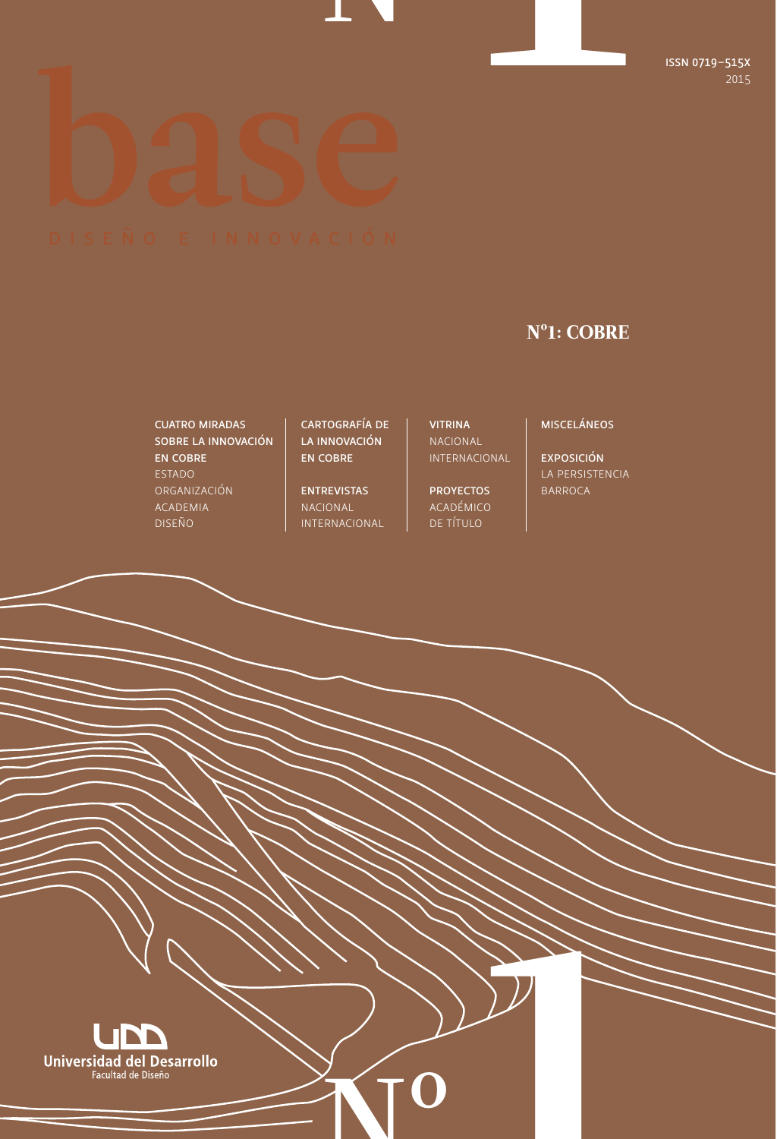# Nº1

# Nº1: COBRE

## CUATRO MIRADAS SOBRE LA INNOVACIÓN EN COBRE ESTADO ORGANIZACIÓN ACADEMIA DISEÑO

CARTOGRAFÍA DE LA INNOVACIÓN EN COBRE

ENTREVISTAS NACIONAL INTERNACIONAL

Nº

VITRINA NACIONAL INTERNACIONAL

PROYECTOS ACADÉMICO DE TÍTULO

MISCELÁNEOS

EXPOSICIÓN LA PERSISTENCIA BARROCA

11 Million

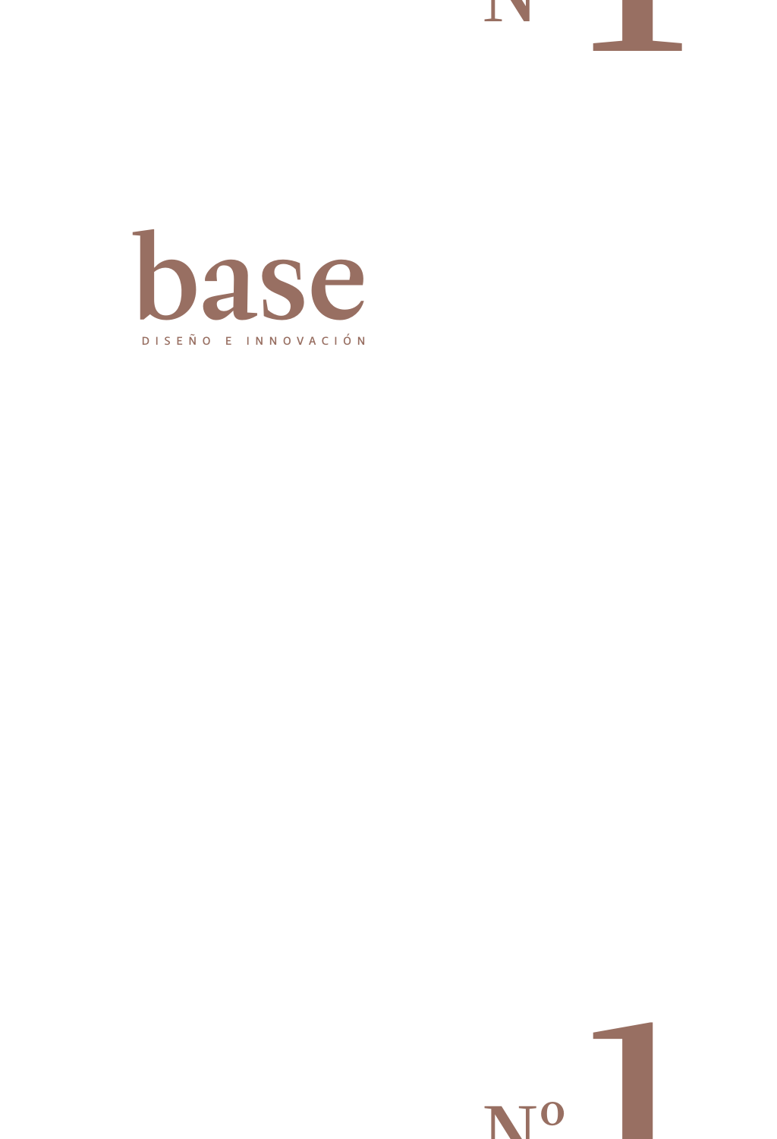



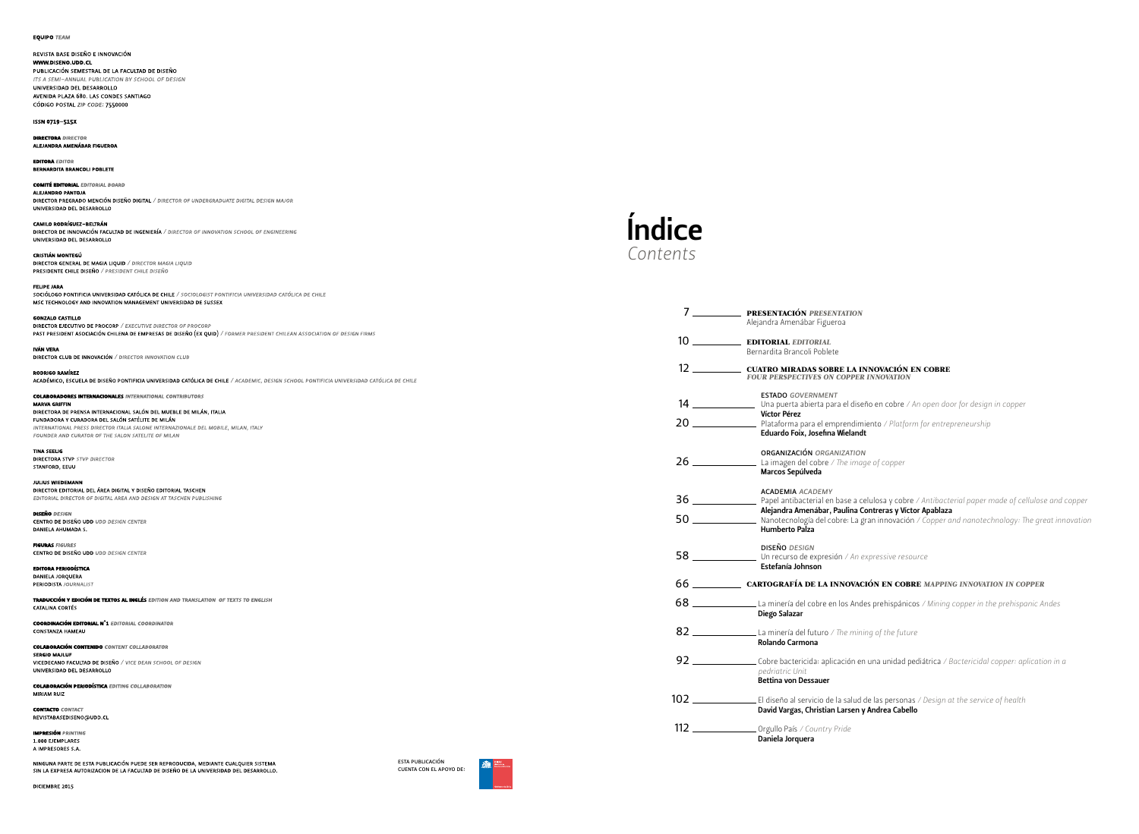**EQUIPO TEAM** 

REVISTA BASE DISEÑO E INNOVACIÓN WWW.DISENO.UDD.CL PUBLICACIÓN SEMESTRAL DE LA FACULTAD DE DISEÑO ITS A SEMI-ANNUAL PUBLICATION BY SCHOOL OF DESIGN UNIVERSIDAD DEL DESARROLLO AVENIDA PLAZA 680. LAS CONDES SANTIAGO CÓDIGO POSTAL ZIP CODE: 7550000

ISSN 0719-515X

**DIPECTORA** DIRECTOR ALEJANDRA AMENÁBAR FIGUEROA

**EDITORA** EDITOR **BERNARDITA BRANCOLI POBLETE** 

**COMITÉ EDITORIAL EDITORIAL BOARD** ALEJANDRO PANTOJA

DIRECTOR PREGRADO MENCIÓN DISEÑO DIGITAL / DIRECTOR OF UNDERGRADUATE DIGITAL DESIGN MAJOR UNIVERSIDAD DEL DESARROLLO

**CAMILO RODRÍGUEZ-BELTRÁN** DIRECTOR DE INNOVACIÓN FACULTAD DE INGENIERÍA / DIRECTOR OF INNOVATION SCHOOL OF ENGINEERING UNIVERSIDAD DEL DESARROLLO

CRISTIÁN MONTEGÚ DIRECTOR GENERAL DE MAGIA LIQUID / DIRECTOR MAGIA LIQUID PRESIDENTE CHILE DISEÑO / PRESIDENT CHILE DISEÑO

**FELIPE JARA** SOCIÓLOGO PONTIFICIA UNIVERSIDAD CATÓLICA DE CHILE / SOCIOLOGIST PONTIFICIA UNIVERSIDAD CATÓLICA DE CHILE MSC TECHNOLOGY AND INNOVATION MANAGEMENT UNIVERSIDAD DE SUSSEX

**GONZALO CASTILLO** DIRECTOR EJECUTIVO DE PROCORP / EXECUTIVE DIRECTOR OF PROCORP PAST PRESIDENT ASOCIACIÓN CHILENA DE EMPRESAS DE DISEÑO (EX QUID) / FORMER PRESIDENT CHILEAN ASSOCIATION OF DESIGN FIRMS

IVÁN VERA DIRECTOR CLUB DE INNOVACIÓN / DIRECTOR INNOVATION CLUB

RODRIGO RAMÍREZ ACADÉMICO, ESCUELA DE DISEÑO PONTIFICIA UNIVERSIDAD CATÓLICA DE CHILE / ACADEMIC, DESIGN SCHOOL PONTIFICIA UNIVERSIDAD CATÓLICA DE CHILE **COLABORADORES INTERNACIONALES INTERNATIONAL CONTRIBUTORS MARVA GRIFFIN** DIRECTORA DE PRENSA INTERNACIONAL SALÓN DEL MUEBLE DE MILÁN, ITALIA

FUNDADORA Y CURADORA DEL SALÓN SATÉLITE DE MILÁN INTERNATIONAL PRESS DIRECTOR ITALIA SALONE INTERNAZIONALE DEL MOBILE, MILAN, ITALY FOUNDER AND CURATOR OF THE SALON SATELITE OF MILAN

**TINA SEELIG** DIRECTORA STVP STVP DIRECTOR STANFORD, EEUU

**JULIUS WIEDEMANN** DIRECTOR EDITORIAL DEL ÁREA DIGITAL Y DISEÑO EDITORIAL TASCHEN EDITORIAL DIRECTOR OF DIGITAL AREA AND DESIGN AT TASCHEN PUBLISHING

**DISEÑO DESIGN** CENTRO DE DISEÑO UDD UDD DESIGN CENTER DANIELA AHUMADA S.

**FIGURAS** FIGURES CENTRO DE DISEÑO UDD UDD DESIGN CENTER

**EDITORA PERIODÍSTICA** DANIELA JORQUERA PERIODISTA JOURNALIST

TRADUCCIÓN Y EDICIÓN DE TEXTOS AL INGLÉS EDITION AND TRANSLATION OF TEXTS TO ENGLISH **CATALINA CORTÉS** 

**COORDINACIÓN EDITORIAL Nº1 EDITORIAL COORDINATOR** CONSTANZA HAMEAU

**COLABORACIÓN CONTENIDO CONTENT COLLABORATOR** SERGIO MAJLUF VICEDECANO FACULTAD DE DISEÑO / VICE DEAN SCHOOL OF DESIGN UNIVERSIDAD DEL DESARROLLO

**COLABORACIÓN PERIODÍSTICA EDITING COLLABORATION** MIRIAM RUIZ

**CONTACTO** CONTACT REVISTABASEDISENO@UDD.CL

**IMPRESIÓN PRINTING** 1.000 EJEMPLARES A IMPRESORES S.A.

NINGUNA PARTE DE ESTA PUBLICACIÓN PUEDE SER REPRODUCIDA. MEDIANTE CUALOUIER SISTEMA SIN LA EXPRESA AUTORIZACIÓN DE LA FACULTAD DE DISEÑO DE LA UNIVERSIDAD DEL DESARROLLO.



Una puerta abierta para el diseño en cobre */ An open door for design in copper*

Plataforma para el emprendimiento */ Platform for entrepreneurship*

Papel antibacterial en base a celulosa y cobre */ Antibacterial paper made of cellulose and copper* íctor Apablaza Nanotecnología del cobre: La gran innovación */ Copper and nanotechnology: Te great innovation*

| $7 \underline{\hspace{1cm}}$ | PRESENTACIÓN PRESENTATION<br>Alejandra Amenábar Figueroa                                                                                                                                                              |  |  |
|------------------------------|-----------------------------------------------------------------------------------------------------------------------------------------------------------------------------------------------------------------------|--|--|
|                              | <b>EDITORIAL EDITORIAL</b><br>Bernardita Brancoli Poblete                                                                                                                                                             |  |  |
|                              | CUATRO MIRADAS SOBRE LA INNOVACIÓN EN C<br><b>FOUR PERSPECTIVES ON COPPER INNOVATION</b>                                                                                                                              |  |  |
|                              | <b>ESTADO GOVERNMENT</b><br>Víctor Pérez<br>Eduardo Foix, Josefina Wielandt                                                                                                                                           |  |  |
|                              | <b>ORGANIZACIÓN ORGANIZATION</b><br>$26$ $\_\_\_\_\_\_\_\_\_\_\_\_\_\_\_\_\_\_\_\_\_\_\_\_\_\_\_\_\_\_\_\_\_\_\__$<br>Marcos Sepúlveda                                                                                |  |  |
|                              | <b>ACADEMIA ACADEMY</b><br>Alejandra Amenábar, Paulina Contreras y Víctor A<br><b>Alejandra Amenábar, Paulina Contreras y Victor A</b><br>  Nanotecnología del cobre: La gran innovación / C<br><b>Humberto Palza</b> |  |  |
|                              | <b>DISEÑO DESIGN</b><br>Estefanía Johnson                                                                                                                                                                             |  |  |
|                              | 66 ___________________ cartografía de la innovación en cobre m                                                                                                                                                        |  |  |
|                              | $68$ $\_\_\_\_\_\_\_\_\_\$ La minería del cobre en los Andes prehispánicos /<br>Diego Salazar                                                                                                                         |  |  |
|                              | $82$ ______________________La minería del futuro / The mining of the future<br>Rolando Carmona                                                                                                                        |  |  |
|                              | 92 ____________________Cobre bactericida: aplicación en una unidad pediát<br>pedriatric Unit<br><b>Bettina von Dessauer</b>                                                                                           |  |  |
|                              | David Vargas, Christian Larsen y Andrea Cabello                                                                                                                                                                       |  |  |
|                              | 112 ____________________ Orgullo País / Country Pride<br>Daniela Jorquera                                                                                                                                             |  |  |



DICIEMBRE 2015

CARTOGRAFÍA DE LA INNOVACIÓN EN COBRE *MAPPING INNOVATION IN COPPER*

licos / Mining copper in the prehispanic Andes

pediátrica / Bactericidal copper: aplication in a

Ras / Design at the service of health

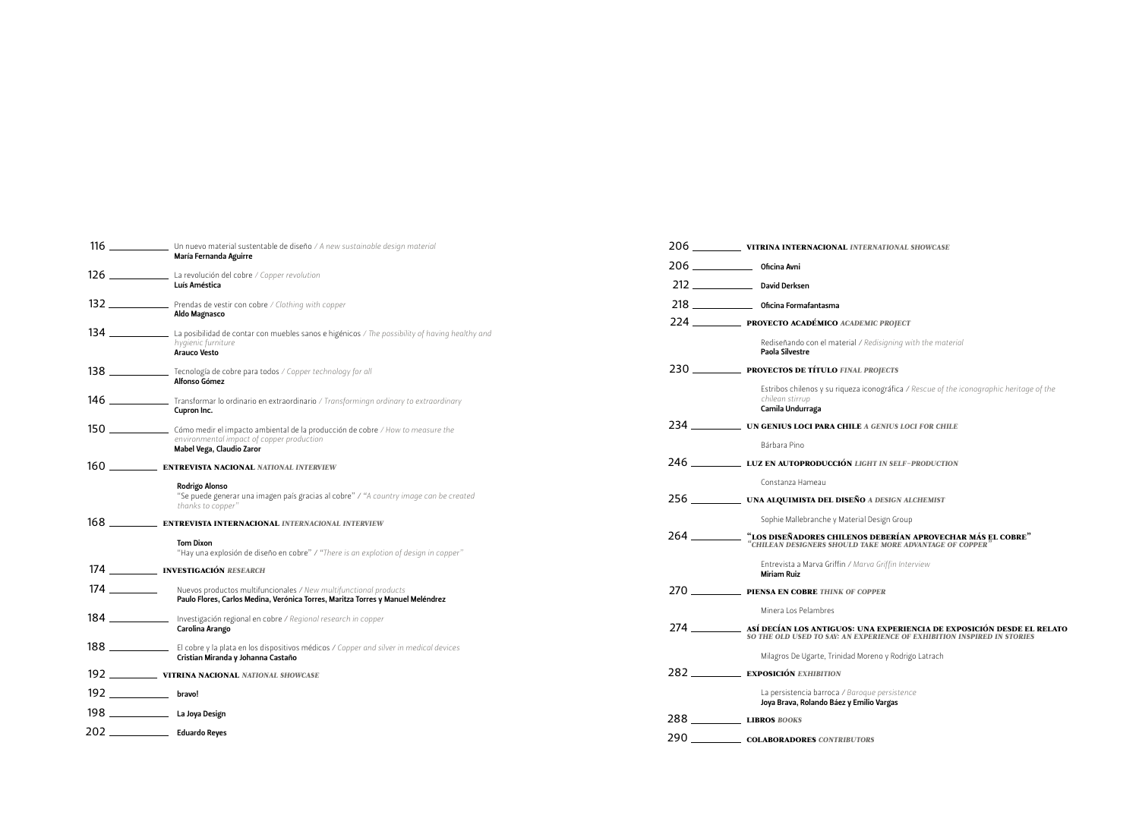Estribos chilenos y su riqueza iconográfica */ Rescue of the iconographic heritage of the* 

ASÍ DECÍAN LOS ANTIGUOS: UNA EXPERIENCIA DE EXPOSICIÓN DESDE EL RELATO

| 116                                 | Un nuevo material sustentable de diseño / A new sustainable design material                                                                         |           | 206 ______________ VITRINA INTERNACIONAL INTERNATIONAL SHOWCASE                                                                                  |
|-------------------------------------|-----------------------------------------------------------------------------------------------------------------------------------------------------|-----------|--------------------------------------------------------------------------------------------------------------------------------------------------|
|                                     | María Fernanda Aguirre                                                                                                                              |           |                                                                                                                                                  |
| 126                                 | La revolución del cobre / Copper revolution<br>Luís Améstica                                                                                        |           |                                                                                                                                                  |
| 132                                 | Prendas de vestir con cobre / Clothing with copper<br>Aldo Magnasco                                                                                 |           |                                                                                                                                                  |
|                                     |                                                                                                                                                     |           | 224 <b>______________ PROYECTO ACADÉMICO</b> ACADEMIC PROJECT                                                                                    |
| 134                                 | La posibilidad de contar con muebles sanos e higénicos / The possibility of having healthy and<br>hygienic furniture<br><b>Arauco Vesto</b>         |           | Rediseñando con el material / Redisigning with the material<br>Paola Silvestre                                                                   |
| 138                                 | Tecnología de cobre para todos / Copper technology for all<br>Alfonso Gómez                                                                         |           | PROYECTOS DE TÍTULO FINAL PROJECTS                                                                                                               |
| 146                                 | Transformar lo ordinario en extraordinario / Transformingn ordinary to extraordinary<br>Cupron Inc.                                                 |           | Estribos chilenos y su riqueza iconográfica / Rescue of the iconographic heritage<br>chilean stirrup<br>Camila Undurraga                         |
| 150                                 | Cómo medir el impacto ambiental de la producción de cobre / How to measure the                                                                      | 234 — 234 | UN GENIUS LOCI PARA CHILE A GENIUS LOCI FOR CHILE                                                                                                |
|                                     | environmental impact of copper production<br>Mabel Vega, Claudio Zaror                                                                              |           | Bárbara Pino                                                                                                                                     |
| 160                                 | <b>ENTREVISTA NACIONAL NATIONAL INTERVIEW</b>                                                                                                       |           | LUZ EN AUTOPRODUCCIÓN LIGHT IN SELF-PRODUCTION                                                                                                   |
|                                     | Rodrigo Alonso                                                                                                                                      |           | Constanza Hameau                                                                                                                                 |
|                                     | "Se puede generar una imagen país gracias al cobre" / "A country image can be created<br>thanks to copper"                                          |           | <b>UNA ALQUIMISTA DEL DISEÑO A DESIGN ALCHEMIST</b>                                                                                              |
| 168                                 | ENTREVISTA INTERNACIONAL INTERNACIONAL INTERVIEW                                                                                                    |           | Sophie Mallebranche y Material Design Group                                                                                                      |
|                                     | <b>Tom Dixon</b><br>"Hay una explosión de diseño en cobre" / "There is an explotion of design in copper"                                            | 264       | $\textbf{``LOS DISE\~NADORES CHILENOS DEBERÍAN APROVECHAR MÁS EL COBRE''}$ $\textbf{``CHILEAN DESIGNERS SHOULD TAKE MORE ANVANTAGE OF COPPER''}$ |
| 174                                 | _ INVESTIGACIÓN RESEARCH                                                                                                                            |           | Entrevista a Marva Griffin / Marva Griffin Interview<br><b>Miriam Ruiz</b>                                                                       |
| $174 \; \underline{\hspace{1.5cm}}$ | Nuevos productos multifuncionales / New multifunctional products<br>Paulo Flores, Carlos Medina, Verónica Torres, Maritza Torres y Manuel Meléndrez | 270       | PIENSA EN COBRE THINK OF COPPER                                                                                                                  |
| 184                                 | Investigación regional en cobre / Regional research in copper                                                                                       |           | Minera Los Pelambres                                                                                                                             |
|                                     | Carolina Arango                                                                                                                                     | $274$ $-$ | ASÍ DECÍAN LOS ANTIGUOS: UNA EXPERIENCIA DE EXPOSICIÓN DESDE EL<br>SO THE OLD USED TO SAY: AN EXPERIENCE OF EXHIBITION INSPIRED IN STORIES       |
| 188                                 | El cobre y la plata en los dispositivos médicos / Copper and silver in medical devices<br>Cristian Miranda y Johanna Castaño                        |           | Milagros De Ugarte, Trinidad Moreno y Rodrigo Latrach                                                                                            |
| 192                                 | VITRINA NACIONAL NATIONAL SHOWCASE                                                                                                                  |           | <b>EXPOSICIÓN EXHIBITION</b>                                                                                                                     |
| $192 -$                             | bravo!                                                                                                                                              |           | La persistencia barroca / Baroque persistence<br>Joya Brava, Rolando Báez y Emilio Vargas                                                        |
| $198 -$                             | La Joya Design                                                                                                                                      |           | 288 LIBROS BOOKS                                                                                                                                 |
| 202                                 | <b>Eduardo Reyes</b>                                                                                                                                | 290       | <b>COLABORADORES CONTRIBUTORS</b>                                                                                                                |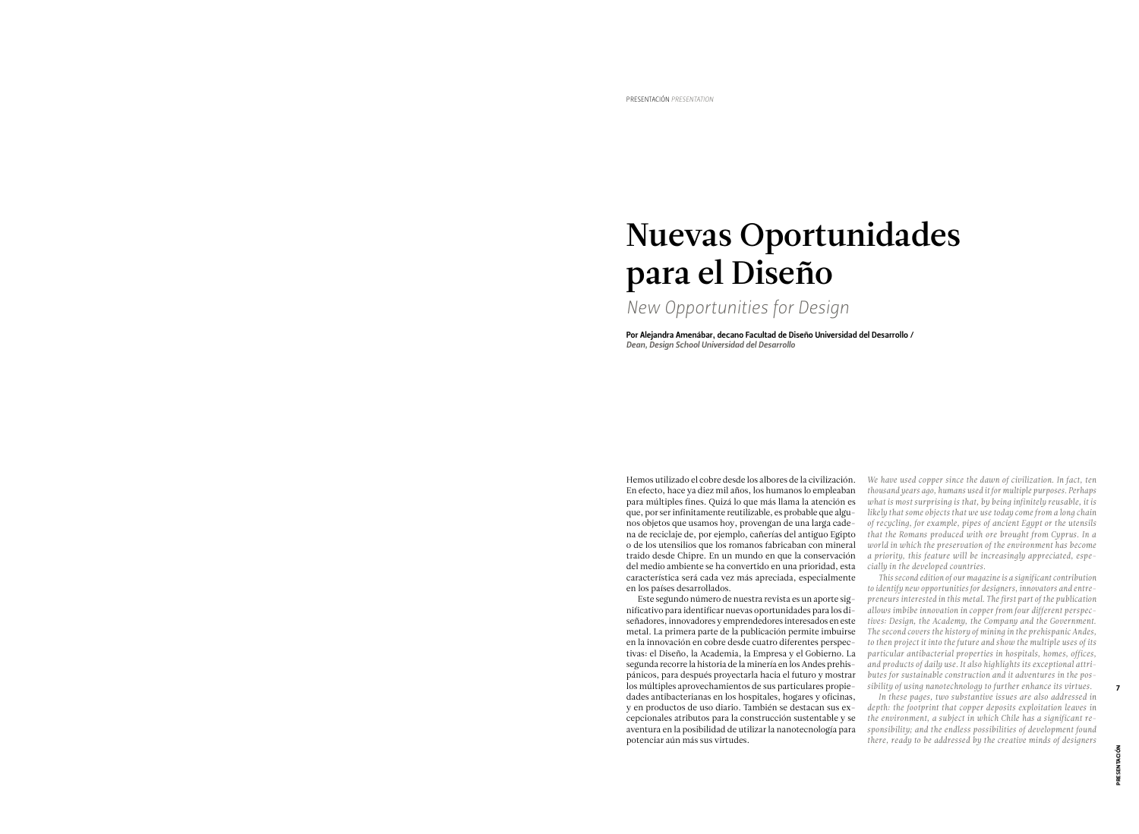# Nuevas Oportunidades para el Diseño

Por Alejandra Amenábar, decano Facultad de Diseño Universidad del Desarrollo / *Dean, Design School Universidad del Desarrollo*

*New Opportunities for Design*

Hemos utilizado el cobre desde los albores de la civilización. En efecto, hace ya diez mil años, los humanos lo empleaban para múltiples fines. Quizá lo que más llama la atención es que, por ser infinitamente reutilizable, es probable que algunos objetos que usamos hoy, provengan de una larga cadena de reciclaje de, por ejemplo, cañerías del antiguo Egipto o de los utensilios que los romanos fabricaban con mineral traido desde Chipre. En un mundo en que la conservación del medio ambiente se ha convertido en una prioridad, esta característica será cada vez más apreciada, especialmente en los países desarrollados.

*We have used copper since the dawn of civilization. In fact, ten thousand years ago, humans used it for multiple purposes. Perhaps what is most surprising is that, by being infinitely reusable, it is likely that some objects that we use today come from a long chain of recycling, for example, pipes of ancient Egypt or the utensils that the Romans produced with ore brought from Cyprus. In a world in which the preservation of the environment has become a priority, this feature will be increasingly appreciated, especially in the developed countries.*

Este segundo número de nuestra revista es un aporte significativo para identificar nuevas oportunidades para los diseñadores, innovadores y emprendedores interesados en este metal. La primera parte de la publicación permite imbuirse en la innovación en cobre desde cuatro diferentes perspectivas: el Diseño, la Academia, la Empresa y el Gobierno. La segunda recorre la historia de la minería en los Andes prehispánicos, para después proyectarla hacia el futuro y mostrar los múltiples aprovechamientos de sus particulares propiedades antibacterianas en los hospitales, hogares y oficinas, y en productos de uso diario. También se destacan sus excepcionales atributos para la construcción sustentable y se aventura en la posibilidad de utilizar la nanotecnología para potenciar aún más sus virtudes.

*This second edition of our magazine is a significant contribution to identify new opportunities for designers, innovators and entrepreneurs interested in this metal. The first part of the publication allows imbibe innovation in copper from four different perspectives: Design, the Academy, the Company and the Government. The second covers the history of mining in the prehispanic Andes, to then project it into the future and show the multiple uses of its particular antibacterial properties in hospitals, homes, offices, and products of daily use. It also highlights its exceptional attributes for sustainable construction and it adventures in the possibility of using nanotechnology to further enhance its virtues. In these pages, two substantive issues are also addressed in depth: the footprint that copper deposits exploitation leaves in the environment, a subject in which Chile has a significant responsibility; and the endless possibilities of development found there, ready to be addressed by the creative minds of designers* 

PRESENTACIÓN

PRESENTACIÓ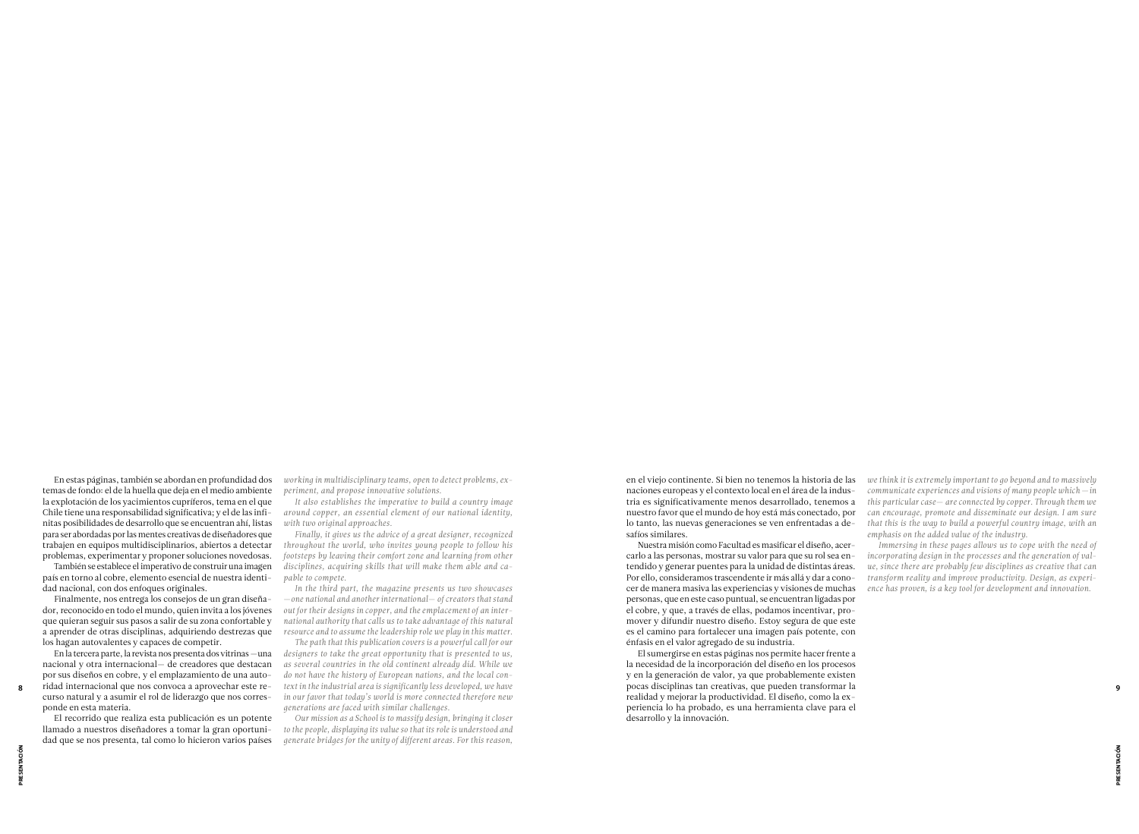naciones europeas y el contexto local en el área de la industria es significativamente menos desarrollado, tenemos a nuestro favor que el mundo de hoy está más conectado, por lo tanto, las nuevas generaciones se ven enfrentadas a desafíos similares.

Nuestra misión como Facultad es masificar el diseño, acercarlo a las personas, mostrar su valor para que su rol sea entendido y generar puentes para la unidad de distintas áreas. Por ello, consideramos trascendente ir más allá y dar a conocer de manera masiva las experiencias y visiones de muchas personas, que en este caso puntual, se encuentran ligadas por el cobre, y que, a través de ellas, podamos incentivar, promover y difundir nuestro diseño. Estoy segura de que este es el camino para fortalecer una imagen país potente, con énfasis en el valor agregado de su industria.

*incorporating design in the processes and the generation of value, since there are probably few disciplines as creative that can transform reality and improve productivity. Design, as experience has proven, is a key tool for development and innovation.*

En estas páginas, también se abordan en profundidad dos temas de fondo: el de la huella que deja en el medio ambiente la explotación de los yacimientos cupríferos, tema en el que Chile tiene una responsabilidad significativa; y el de las infinitas posibilidades de desarrollo que se encuentran ahí, listas para ser abordadas por las mentes creativas de diseñadores que trabajen en equipos multidisciplinarios, abiertos a detectar problemas, experimentar y proponer soluciones novedosas.

También se establece el imperativo de construir una imagen país en torno al cobre, elemento esencial de nuestra identidad nacional, con dos enfoques originales.

Finalmente, nos entrega los consejos de un gran diseñador, reconocido en todo el mundo, quien invita a los jóvenes que quieran seguir sus pasos a salir de su zona confortable y a aprender de otras disciplinas, adquiriendo destrezas que los hagan autovalentes y capaces de competir.

El sumergirse en estas páginas nos permite hacer frente a la necesidad de la incorporación del diseño en los procesos y en la generación de valor, ya que probablemente existen pocas disciplinas tan creativas, que pueden transformar la realidad y mejorar la productividad. El diseño, como la experiencia lo ha probado, es una herramienta clave para el desarrollo y la innovación. *text in the industrial area is significantly less developed, we have*  8 9

en el viejo continente. Si bien no tenemos la historia de las *we think it is extremely important to go beyond and to massively communicate experiences and visions of many people which — in this particular case*— *are connected by copper. Through them we can encourage, promote and disseminate our design. I am sure that this is the way to build a powerful country image, with an emphasis on the added value of the industry.* Immersing in these pages allows us to cope with the need of

En la tercera parte, la revista nos presenta dos vitrinas —una nacional y otra internacional— de creadores que destacan por sus diseños en cobre, y el emplazamiento de una autoridad internacional que nos convoca a aprovechar este recurso natural y a asumir el rol de liderazgo que nos corresponde en esta materia.

El recorrido que realiza esta publicación es un potente llamado a nuestros diseñadores a tomar la gran oportunidad que se nos presenta, tal como lo hicieron varios países

*working in multidisciplinary teams, open to detect problems, experiment, and propose innovative solutions.*

*It also establishes the imperative to build a country image around copper, an essential element of our national identity, with two original approaches.*

*Finally, it gives us the advice of a great designer, recognized throughout the world, who invites young people to follow his footsteps by leaving their comfort zone and learning from other disciplines, acquiring skills that will make them able and capable to compete.*

*In the third part, the magazine presents us two showcases*  —*one national and another international*— *of creators that stand out for their designs in copper, and the emplacement of an international authority that calls us to take advantage of this natural resource and to assume the leadership role we play in this matter.*

*The path that this publication covers is a powerful call for our designers to take the great opportunity that is presented to us, as several countries in the old continent already did. While we do not have the history of European nations, and the local conin our favor that today's world is more connected therefore new generations are faced with similar challenges.*

*Our mission as a School is to massify design, bringing it closer to the people, displaying its value so that its role is understood and generate bridges for the unity of different areas. For this reason,*